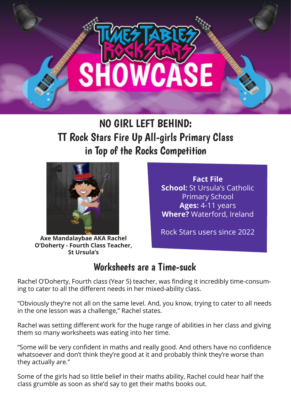

## NO GIRL LEFT BEHIND: TT Rock Stars Fire Up All-girls Primary Class in Top of the Rocks Competition



**Fact File School:** St Ursula's Catholic Primary School **Ages:** 4-11 years **Where?** Waterford, Ireland

**Axe Mandalaybae AKA Rachel O'Doherty - Fourth Class Teacher, St Ursula's**

Rock Stars users since 2022

## Worksheets are a Time-suck

Rachel O'Doherty, Fourth class (Year 5) teacher, was finding it incredibly time-consuming to cater to all the different needs in her mixed-ability class.

"Obviously they're not all on the same level. And, you know, trying to cater to all needs in the one lesson was a challenge," Rachel states.

Rachel was setting different work for the huge range of abilities in her class and giving them so many worksheets was eating into her time.

"Some will be very confident in maths and really good. And others have no confidence whatsoever and don't think they're good at it and probably think they're worse than they actually are."

Some of the girls had so little belief in their maths ability, Rachel could hear half the class grumble as soon as she'd say to get their maths books out.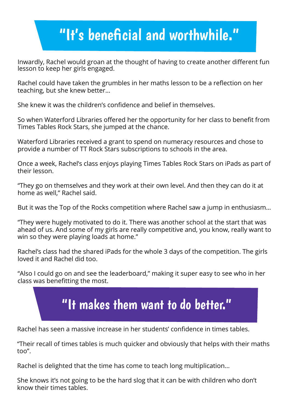## "It's beneficial and worthwhile."

Inwardly, Rachel would groan at the thought of having to create another different fun lesson to keep her girls engaged.

Rachel could have taken the grumbles in her maths lesson to be a reflection on her teaching, but she knew better…

She knew it was the children's confidence and belief in themselves.

So when Waterford Libraries offered her the opportunity for her class to benefit from Times Tables Rock Stars, she jumped at the chance.

Waterford Libraries received a grant to spend on numeracy resources and chose to provide a number of TT Rock Stars subscriptions to schools in the area.

Once a week, Rachel's class enjoys playing Times Tables Rock Stars on iPads as part of their lesson.

"They go on themselves and they work at their own level. And then they can do it at home as well," Rachel said.

But it was the Top of the Rocks competition where Rachel saw a jump in enthusiasm…

"They were hugely motivated to do it. There was another school at the start that was ahead of us. And some of my girls are really competitive and, you know, really want to win so they were playing loads at home."

Rachel's class had the shared iPads for the whole 3 days of the competition. The girls loved it and Rachel did too.

"Also I could go on and see the leaderboard," making it super easy to see who in her class was benefitting the most.



Rachel has seen a massive increase in her students' confidence in times tables.

"Their recall of times tables is much quicker and obviously that helps with their maths too".

Rachel is delighted that the time has come to teach long multiplication…

She knows it's not going to be the hard slog that it can be with children who don't know their times tables.